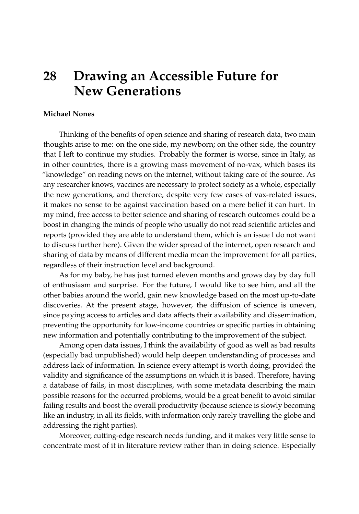## **28 Drawing an Accessible Future for New Generations**

## **Michael Nones**

Thinking of the benefits of open science and sharing of research data, two main thoughts arise to me: on the one side, my newborn; on the other side, the country that I left to continue my studies. Probably the former is worse, since in Italy, as in other countries, there is a growing mass movement of no-vax, which bases its "knowledge" on reading news on the internet, without taking care of the source. As any researcher knows, vaccines are necessary to protect society as a whole, especially the new generations, and therefore, despite very few cases of vax-related issues, it makes no sense to be against vaccination based on a mere belief it can hurt. In my mind, free access to better science and sharing of research outcomes could be a boost in changing the minds of people who usually do not read scientific articles and reports (provided they are able to understand them, which is an issue I do not want to discuss further here). Given the wider spread of the internet, open research and sharing of data by means of different media mean the improvement for all parties, regardless of their instruction level and background.

As for my baby, he has just turned eleven months and grows day by day full of enthusiasm and surprise. For the future, I would like to see him, and all the other babies around the world, gain new knowledge based on the most up-to-date discoveries. At the present stage, however, the diffusion of science is uneven, since paying access to articles and data affects their availability and dissemination, preventing the opportunity for low-income countries or specific parties in obtaining new information and potentially contributing to the improvement of the subject.

Among open data issues, I think the availability of good as well as bad results (especially bad unpublished) would help deepen understanding of processes and address lack of information. In science every attempt is worth doing, provided the validity and significance of the assumptions on which it is based. Therefore, having a database of fails, in most disciplines, with some metadata describing the main possible reasons for the occurred problems, would be a great benefit to avoid similar failing results and boost the overall productivity (because science is slowly becoming like an industry, in all its fields, with information only rarely travelling the globe and addressing the right parties).

Moreover, cutting-edge research needs funding, and it makes very little sense to concentrate most of it in literature review rather than in doing science. Especially